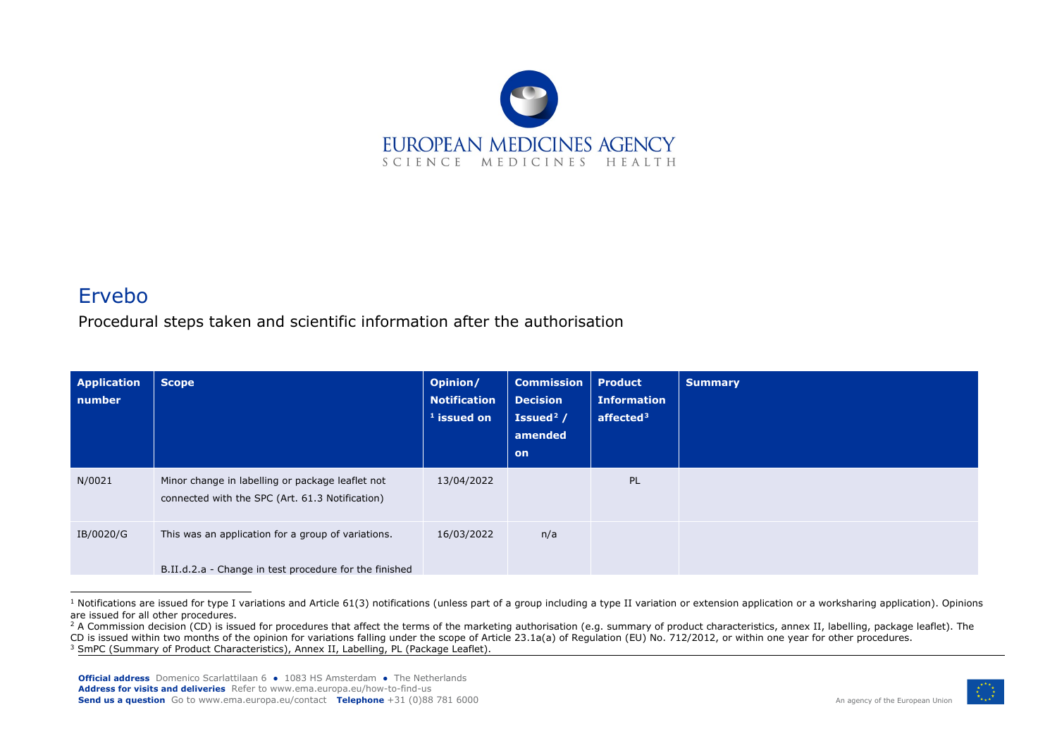<span id="page-0-2"></span><span id="page-0-1"></span><span id="page-0-0"></span>

## Ervebo

Procedural steps taken and scientific information after the authorisation

| <b>Application</b><br>number | <b>Scope</b>                                                                                                 | Opinion/<br><b>Notification</b><br>$1$ issued on | <b>Commission</b><br><b>Decision</b><br>Issued <sup>2</sup> /<br>amended<br><b>on</b> | <b>Product</b><br><b>Information</b><br>affected $3$ | <b>Summary</b> |
|------------------------------|--------------------------------------------------------------------------------------------------------------|--------------------------------------------------|---------------------------------------------------------------------------------------|------------------------------------------------------|----------------|
| N/0021                       | Minor change in labelling or package leaflet not<br>connected with the SPC (Art. 61.3 Notification)          | 13/04/2022                                       |                                                                                       | PL                                                   |                |
| IB/0020/G                    | This was an application for a group of variations.<br>B.II.d.2.a - Change in test procedure for the finished | 16/03/2022                                       | n/a                                                                                   |                                                      |                |

 $1$  Notifications are issued for type I variations and Article 61(3) notifications (unless part of a group including a type II variation or extension application or a worksharing application). Opinions are issued for all other procedures.



<sup>&</sup>lt;sup>2</sup> A Commission decision (CD) is issued for procedures that affect the terms of the marketing authorisation (e.g. summary of product characteristics, annex II, labelling, package leaflet). The CD is issued within two months of the opinion for variations falling under the scope of Article 23.1a(a) of Regulation (EU) No. 712/2012, or within one year for other procedures.

<sup>&</sup>lt;sup>3</sup> SmPC (Summary of Product Characteristics), Annex II, Labelling, PL (Package Leaflet).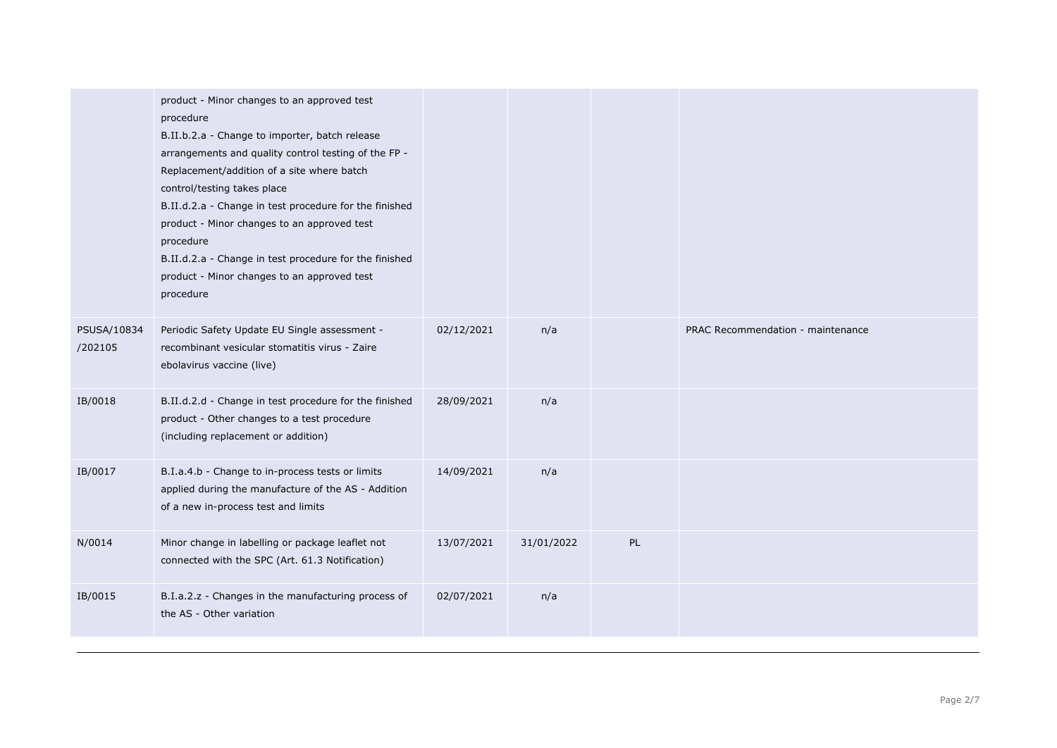|                        | product - Minor changes to an approved test<br>procedure<br>B.II.b.2.a - Change to importer, batch release<br>arrangements and quality control testing of the FP -<br>Replacement/addition of a site where batch<br>control/testing takes place<br>B.II.d.2.a - Change in test procedure for the finished<br>product - Minor changes to an approved test<br>procedure<br>B.II.d.2.a - Change in test procedure for the finished<br>product - Minor changes to an approved test<br>procedure |            |            |    |                                   |
|------------------------|---------------------------------------------------------------------------------------------------------------------------------------------------------------------------------------------------------------------------------------------------------------------------------------------------------------------------------------------------------------------------------------------------------------------------------------------------------------------------------------------|------------|------------|----|-----------------------------------|
| PSUSA/10834<br>/202105 | Periodic Safety Update EU Single assessment -<br>recombinant vesicular stomatitis virus - Zaire<br>ebolavirus vaccine (live)                                                                                                                                                                                                                                                                                                                                                                | 02/12/2021 | n/a        |    | PRAC Recommendation - maintenance |
| IB/0018                | B.II.d.2.d - Change in test procedure for the finished<br>product - Other changes to a test procedure<br>(including replacement or addition)                                                                                                                                                                                                                                                                                                                                                | 28/09/2021 | n/a        |    |                                   |
| IB/0017                | B.I.a.4.b - Change to in-process tests or limits<br>applied during the manufacture of the AS - Addition<br>of a new in-process test and limits                                                                                                                                                                                                                                                                                                                                              | 14/09/2021 | n/a        |    |                                   |
| N/0014                 | Minor change in labelling or package leaflet not<br>connected with the SPC (Art. 61.3 Notification)                                                                                                                                                                                                                                                                                                                                                                                         | 13/07/2021 | 31/01/2022 | PL |                                   |
| IB/0015                | B.I.a.2.z - Changes in the manufacturing process of<br>the AS - Other variation                                                                                                                                                                                                                                                                                                                                                                                                             | 02/07/2021 | n/a        |    |                                   |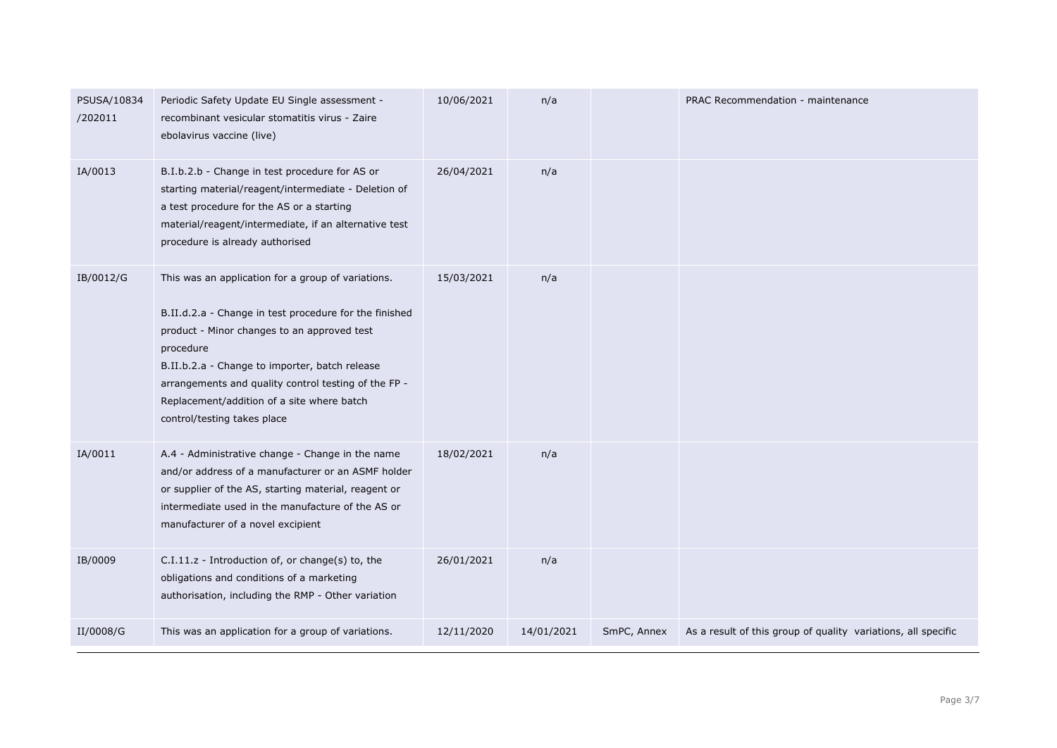| PSUSA/10834<br>/202011 | Periodic Safety Update EU Single assessment -<br>recombinant vesicular stomatitis virus - Zaire<br>ebolavirus vaccine (live)                                                                                                                                                                                                                                    | 10/06/2021 | n/a        |             | PRAC Recommendation - maintenance                             |
|------------------------|-----------------------------------------------------------------------------------------------------------------------------------------------------------------------------------------------------------------------------------------------------------------------------------------------------------------------------------------------------------------|------------|------------|-------------|---------------------------------------------------------------|
| IA/0013                | B.I.b.2.b - Change in test procedure for AS or<br>starting material/reagent/intermediate - Deletion of<br>a test procedure for the AS or a starting<br>material/reagent/intermediate, if an alternative test<br>procedure is already authorised                                                                                                                 | 26/04/2021 | n/a        |             |                                                               |
| IB/0012/G              | This was an application for a group of variations.<br>B.II.d.2.a - Change in test procedure for the finished<br>product - Minor changes to an approved test<br>procedure<br>B.II.b.2.a - Change to importer, batch release<br>arrangements and quality control testing of the FP -<br>Replacement/addition of a site where batch<br>control/testing takes place | 15/03/2021 | n/a        |             |                                                               |
| IA/0011                | A.4 - Administrative change - Change in the name<br>and/or address of a manufacturer or an ASMF holder<br>or supplier of the AS, starting material, reagent or<br>intermediate used in the manufacture of the AS or<br>manufacturer of a novel excipient                                                                                                        | 18/02/2021 | n/a        |             |                                                               |
| IB/0009                | C.I.11.z - Introduction of, or change(s) to, the<br>obligations and conditions of a marketing<br>authorisation, including the RMP - Other variation                                                                                                                                                                                                             | 26/01/2021 | n/a        |             |                                                               |
| II/0008/G              | This was an application for a group of variations.                                                                                                                                                                                                                                                                                                              | 12/11/2020 | 14/01/2021 | SmPC, Annex | As a result of this group of quality variations, all specific |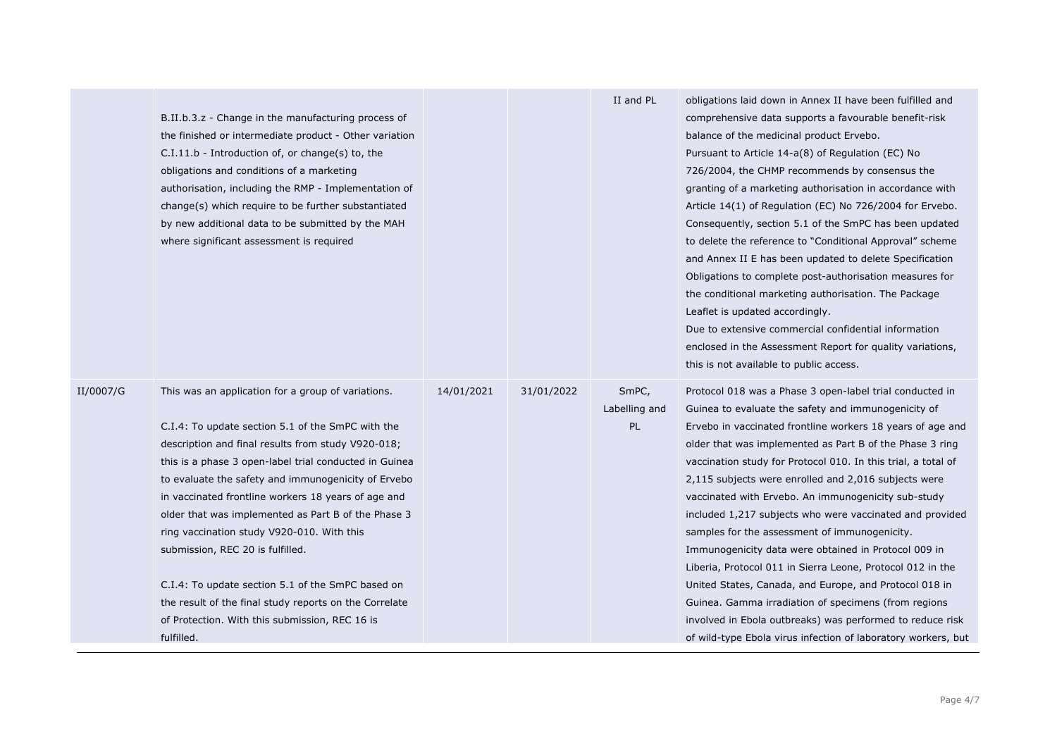|           |                                                        |            |            | II and PL     | obligations laid down in Annex II have been fulfilled and     |
|-----------|--------------------------------------------------------|------------|------------|---------------|---------------------------------------------------------------|
|           | B.II.b.3.z - Change in the manufacturing process of    |            |            |               | comprehensive data supports a favourable benefit-risk         |
|           | the finished or intermediate product - Other variation |            |            |               | balance of the medicinal product Ervebo.                      |
|           | $C.I.11.b$ - Introduction of, or change(s) to, the     |            |            |               | Pursuant to Article 14-a(8) of Regulation (EC) No             |
|           | obligations and conditions of a marketing              |            |            |               | 726/2004, the CHMP recommends by consensus the                |
|           | authorisation, including the RMP - Implementation of   |            |            |               | granting of a marketing authorisation in accordance with      |
|           | change(s) which require to be further substantiated    |            |            |               | Article 14(1) of Regulation (EC) No 726/2004 for Ervebo.      |
|           | by new additional data to be submitted by the MAH      |            |            |               | Consequently, section 5.1 of the SmPC has been updated        |
|           | where significant assessment is required               |            |            |               | to delete the reference to "Conditional Approval" scheme      |
|           |                                                        |            |            |               | and Annex II E has been updated to delete Specification       |
|           |                                                        |            |            |               | Obligations to complete post-authorisation measures for       |
|           |                                                        |            |            |               | the conditional marketing authorisation. The Package          |
|           |                                                        |            |            |               | Leaflet is updated accordingly.                               |
|           |                                                        |            |            |               | Due to extensive commercial confidential information          |
|           |                                                        |            |            |               | enclosed in the Assessment Report for quality variations,     |
|           |                                                        |            |            |               | this is not available to public access.                       |
| II/0007/G | This was an application for a group of variations.     | 14/01/2021 | 31/01/2022 | SmPC,         | Protocol 018 was a Phase 3 open-label trial conducted in      |
|           |                                                        |            |            | Labelling and | Guinea to evaluate the safety and immunogenicity of           |
|           | C.I.4: To update section 5.1 of the SmPC with the      |            |            | PL            | Ervebo in vaccinated frontline workers 18 years of age and    |
|           | description and final results from study V920-018;     |            |            |               | older that was implemented as Part B of the Phase 3 ring      |
|           | this is a phase 3 open-label trial conducted in Guinea |            |            |               | vaccination study for Protocol 010. In this trial, a total of |
|           | to evaluate the safety and immunogenicity of Ervebo    |            |            |               | 2,115 subjects were enrolled and 2,016 subjects were          |
|           | in vaccinated frontline workers 18 years of age and    |            |            |               | vaccinated with Ervebo. An immunogenicity sub-study           |
|           | older that was implemented as Part B of the Phase 3    |            |            |               | included 1,217 subjects who were vaccinated and provided      |
|           | ring vaccination study V920-010. With this             |            |            |               | samples for the assessment of immunogenicity.                 |
|           | submission, REC 20 is fulfilled.                       |            |            |               | Immunogenicity data were obtained in Protocol 009 in          |
|           |                                                        |            |            |               | Liberia, Protocol 011 in Sierra Leone, Protocol 012 in the    |
|           | C.I.4: To update section 5.1 of the SmPC based on      |            |            |               | United States, Canada, and Europe, and Protocol 018 in        |
|           |                                                        |            |            |               |                                                               |
|           | the result of the final study reports on the Correlate |            |            |               | Guinea. Gamma irradiation of specimens (from regions          |
|           | of Protection. With this submission, REC 16 is         |            |            |               | involved in Ebola outbreaks) was performed to reduce risk     |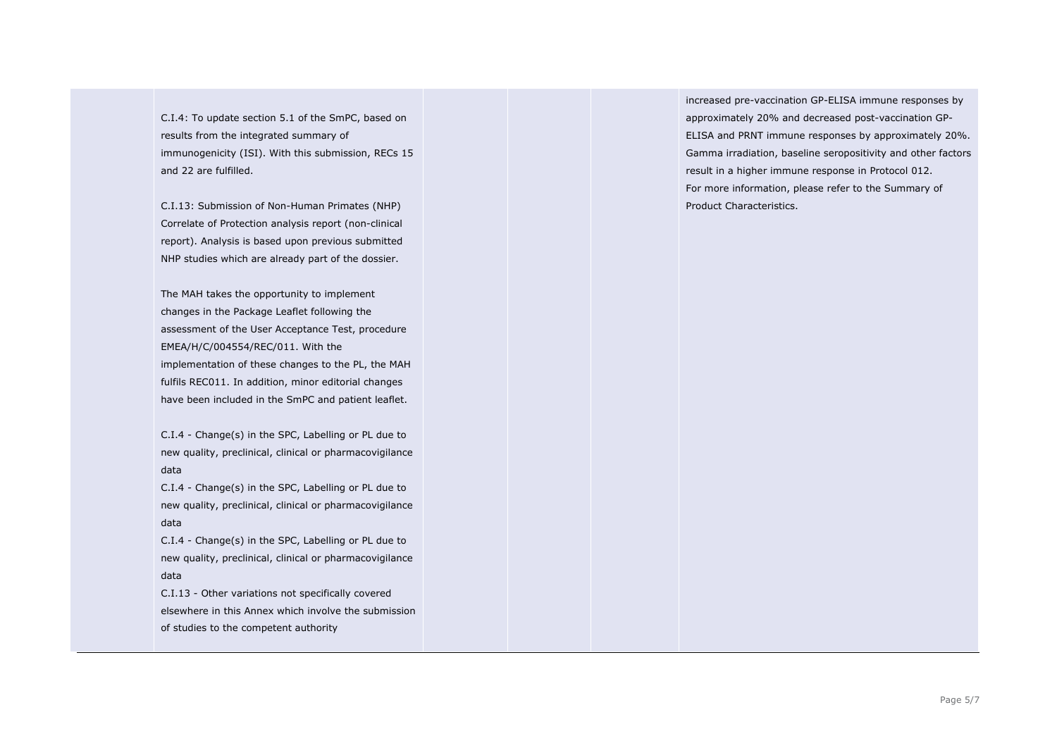C.I.4: To update section 5.1 of the SmPC, based on results from the integrated summary of immunogenicity (ISI). With this submission, RECs 15 and 22 are fulfilled.

C.I.13: Submission of Non-Human Primates (NHP) Correlate of Protection analysis report (non-clinical report). Analysis is based upon previous submitted NHP studies which are already part of the dossier.

The MAH takes the opportunity to implement changes in the Package Leaflet following the assessment of the User Acceptance Test, procedure EMEA/H/C/004554/REC/011. With the implementation of these changes to the PL, the MAH fulfils REC011. In addition, minor editorial changes have been included in the SmPC and patient leaflet.

C.I.4 - Change(s) in the SPC, Labelling or PL due to new quality, preclinical, clinical or pharmacovigilance data

C.I.4 - Change(s) in the SPC, Labelling or PL due to new quality, preclinical, clinical or pharmacovigilance data

C.I.4 - Change(s) in the SPC, Labelling or PL due to new quality, preclinical, clinical or pharmacovigilance data

C.I.13 - Other variations not specifically covered elsewhere in this Annex which involve the submission of studies to the competent authority

increased pre-vaccination GP-ELISA immune responses by approximately 20% and decreased post-vaccination GP-ELISA and PRNT immune responses by approximately 20%. Gamma irradiation, baseline seropositivity and other factors result in a higher immune response in Protocol 012. For more information, please refer to the Summary of Product Characteristics.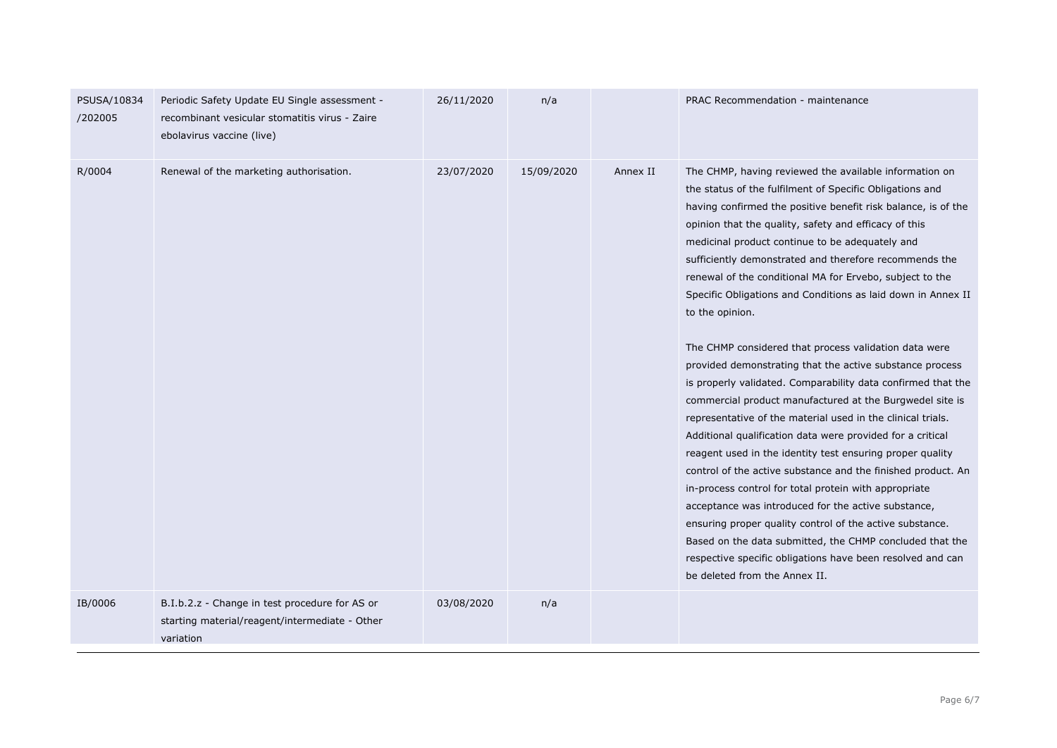| PSUSA/10834<br>/202005 | Periodic Safety Update EU Single assessment -<br>recombinant vesicular stomatitis virus - Zaire<br>ebolavirus vaccine (live) | 26/11/2020 | n/a        |          | PRAC Recommendation - maintenance                                                                                                                                                                                                                                                                                                                                                                                                                                                                                                                                                                                                                                                                                                                                                                                                                                                                                                                                                                                                                                                                                                                                                                                                                                                                                                                          |
|------------------------|------------------------------------------------------------------------------------------------------------------------------|------------|------------|----------|------------------------------------------------------------------------------------------------------------------------------------------------------------------------------------------------------------------------------------------------------------------------------------------------------------------------------------------------------------------------------------------------------------------------------------------------------------------------------------------------------------------------------------------------------------------------------------------------------------------------------------------------------------------------------------------------------------------------------------------------------------------------------------------------------------------------------------------------------------------------------------------------------------------------------------------------------------------------------------------------------------------------------------------------------------------------------------------------------------------------------------------------------------------------------------------------------------------------------------------------------------------------------------------------------------------------------------------------------------|
| R/0004                 | Renewal of the marketing authorisation.                                                                                      | 23/07/2020 | 15/09/2020 | Annex II | The CHMP, having reviewed the available information on<br>the status of the fulfilment of Specific Obligations and<br>having confirmed the positive benefit risk balance, is of the<br>opinion that the quality, safety and efficacy of this<br>medicinal product continue to be adequately and<br>sufficiently demonstrated and therefore recommends the<br>renewal of the conditional MA for Ervebo, subject to the<br>Specific Obligations and Conditions as laid down in Annex II<br>to the opinion.<br>The CHMP considered that process validation data were<br>provided demonstrating that the active substance process<br>is properly validated. Comparability data confirmed that the<br>commercial product manufactured at the Burgwedel site is<br>representative of the material used in the clinical trials.<br>Additional qualification data were provided for a critical<br>reagent used in the identity test ensuring proper quality<br>control of the active substance and the finished product. An<br>in-process control for total protein with appropriate<br>acceptance was introduced for the active substance,<br>ensuring proper quality control of the active substance.<br>Based on the data submitted, the CHMP concluded that the<br>respective specific obligations have been resolved and can<br>be deleted from the Annex II. |
| IB/0006                | B.I.b.2.z - Change in test procedure for AS or<br>starting material/reagent/intermediate - Other<br>variation                | 03/08/2020 | n/a        |          |                                                                                                                                                                                                                                                                                                                                                                                                                                                                                                                                                                                                                                                                                                                                                                                                                                                                                                                                                                                                                                                                                                                                                                                                                                                                                                                                                            |